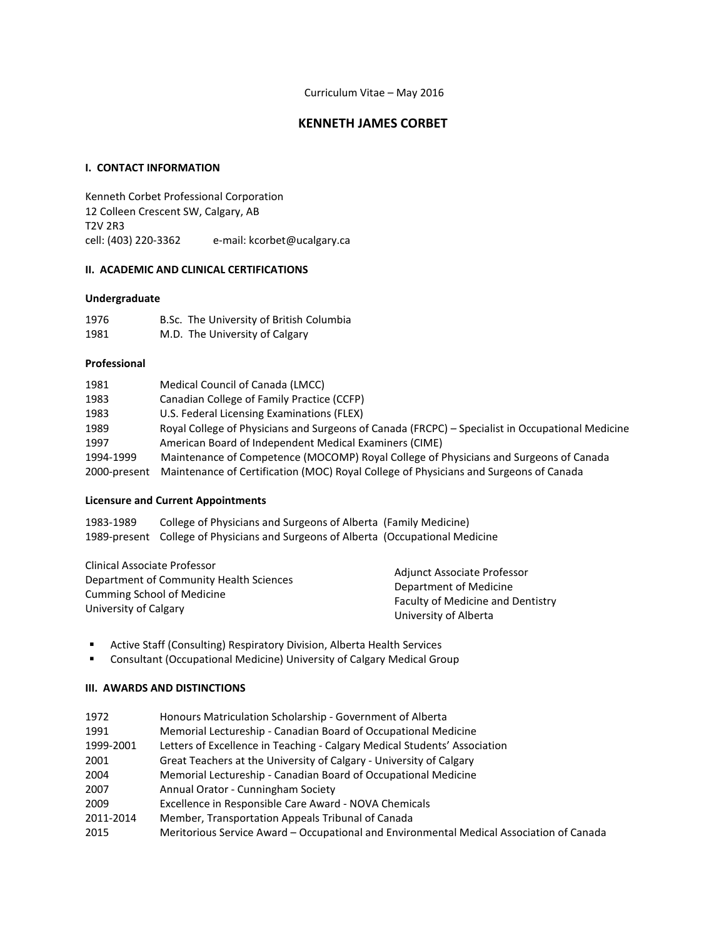# **KENNETH JAMES CORBET**

# **I. CONTACT INFORMATION**

Kenneth Corbet Professional Corporation 12 Colleen Crescent SW, Calgary, AB T2V 2R3 cell: (403) 220-3362 e-mail: kcorbet@ucalgary.ca

# **II. ACADEMIC AND CLINICAL CERTIFICATIONS**

## **Undergraduate**

| 1976 | B.Sc. The University of British Columbia |
|------|------------------------------------------|
| 1981 | M.D. The University of Calgary           |

## **Professional**

| 1981         | Medical Council of Canada (LMCC)                                                                 |
|--------------|--------------------------------------------------------------------------------------------------|
| 1983         | Canadian College of Family Practice (CCFP)                                                       |
| 1983         | U.S. Federal Licensing Examinations (FLEX)                                                       |
| 1989         | Royal College of Physicians and Surgeons of Canada (FRCPC) – Specialist in Occupational Medicine |
| 1997         | American Board of Independent Medical Examiners (CIME)                                           |
| 1994-1999    | Maintenance of Competence (MOCOMP) Royal College of Physicians and Surgeons of Canada            |
| 2000-present | Maintenance of Certification (MOC) Royal College of Physicians and Surgeons of Canada            |

# **Licensure and Current Appointments**

| 1983-1989 | College of Physicians and Surgeons of Alberta (Family Medicine)                   |  |
|-----------|-----------------------------------------------------------------------------------|--|
|           | 1989-present College of Physicians and Surgeons of Alberta (Occupational Medicine |  |

| Clinical Associate Professor            |                                          |  |
|-----------------------------------------|------------------------------------------|--|
| Department of Community Health Sciences | Adjunct Associate Professor              |  |
|                                         | Department of Medicine                   |  |
| <b>Cumming School of Medicine</b>       |                                          |  |
|                                         | <b>Faculty of Medicine and Dentistry</b> |  |
| University of Calgary                   | University of Alberta                    |  |

- Active Staff (Consulting) Respiratory Division, Alberta Health Services
- Consultant (Occupational Medicine) University of Calgary Medical Group

## **III. AWARDS AND DISTINCTIONS**

| 1972      | Honours Matriculation Scholarship - Government of Alberta                                |
|-----------|------------------------------------------------------------------------------------------|
| 1991      | Memorial Lectureship - Canadian Board of Occupational Medicine                           |
| 1999-2001 | Letters of Excellence in Teaching - Calgary Medical Students' Association                |
| 2001      | Great Teachers at the University of Calgary - University of Calgary                      |
| 2004      | Memorial Lectureship - Canadian Board of Occupational Medicine                           |
| 2007      | Annual Orator - Cunningham Society                                                       |
| 2009      | Excellence in Responsible Care Award - NOVA Chemicals                                    |
| 2011-2014 | Member, Transportation Appeals Tribunal of Canada                                        |
| 2015      | Meritorious Service Award – Occupational and Environmental Medical Association of Canada |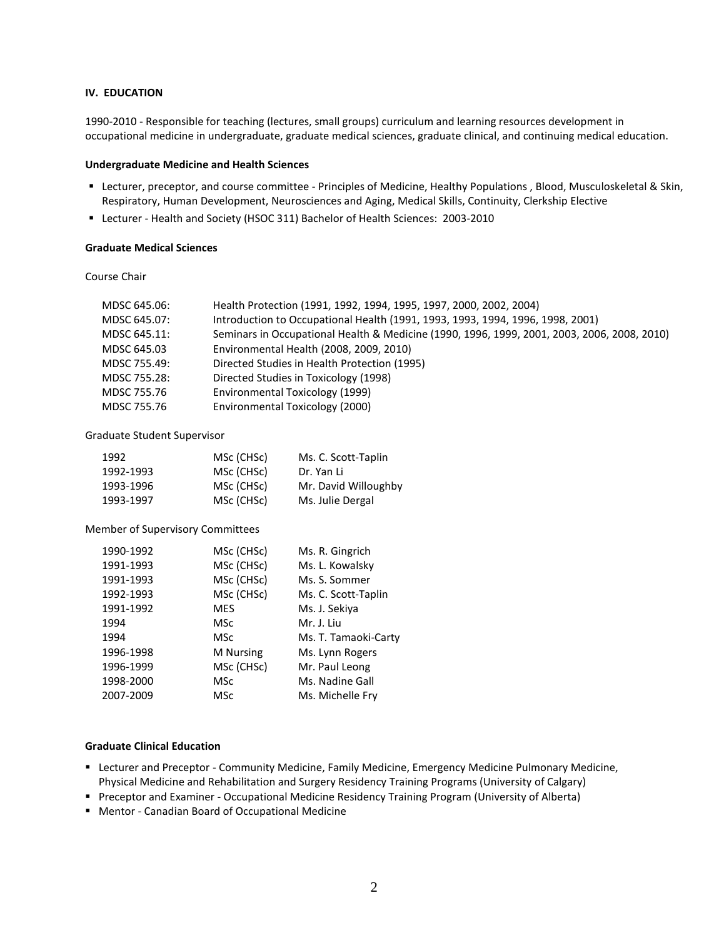#### **IV. EDUCATION**

1990-2010 - Responsible for teaching (lectures, small groups) curriculum and learning resources development in occupational medicine in undergraduate, graduate medical sciences, graduate clinical, and continuing medical education.

#### **Undergraduate Medicine and Health Sciences**

- Lecturer, preceptor, and course committee Principles of Medicine, Healthy Populations , Blood, Musculoskeletal & Skin, Respiratory, Human Development, Neurosciences and Aging, Medical Skills, Continuity, Clerkship Elective
- Lecturer Health and Society (HSOC 311) Bachelor of Health Sciences: 2003-2010

## **Graduate Medical Sciences**

Course Chair

| MDSC 645.06: | Health Protection (1991, 1992, 1994, 1995, 1997, 2000, 2002, 2004)                          |
|--------------|---------------------------------------------------------------------------------------------|
| MDSC 645.07: | Introduction to Occupational Health (1991, 1993, 1993, 1994, 1996, 1998, 2001)              |
| MDSC 645.11: | Seminars in Occupational Health & Medicine (1990, 1996, 1999, 2001, 2003, 2006, 2008, 2010) |
| MDSC 645.03  | Environmental Health (2008, 2009, 2010)                                                     |
| MDSC 755.49: | Directed Studies in Health Protection (1995)                                                |
| MDSC 755.28: | Directed Studies in Toxicology (1998)                                                       |
| MDSC 755.76  | Environmental Toxicology (1999)                                                             |
| MDSC 755.76  | Environmental Toxicology (2000)                                                             |

# Graduate Student Supervisor

| 1992      | MSc (CHSc) | Ms. C. Scott-Taplin  |
|-----------|------------|----------------------|
| 1992-1993 | MSc (CHSc) | Dr. Yan Li           |
| 1993-1996 | MSc (CHSc) | Mr. David Willoughby |
| 1993-1997 | MSc (CHSc) | Ms. Julie Dergal     |

#### Member of Supervisory Committees

| 1990-1992 | MSc (CHSc)       | Ms. R. Gingrich      |
|-----------|------------------|----------------------|
| 1991-1993 | MSc (CHSc)       | Ms. L. Kowalsky      |
| 1991-1993 | MSc (CHSc)       | Ms. S. Sommer        |
| 1992-1993 | MSc (CHSc)       | Ms. C. Scott-Taplin  |
| 1991-1992 | <b>MES</b>       | Ms. J. Sekiya        |
| 1994      | MSc              | Mr. J. Liu           |
| 1994      | MSc              | Ms. T. Tamaoki-Carty |
| 1996-1998 | <b>M</b> Nursing | Ms. Lynn Rogers      |
| 1996-1999 | MSc (CHSc)       | Mr. Paul Leong       |
| 1998-2000 | MSc              | Ms. Nadine Gall      |
| 2007-2009 | MSc              | Ms. Michelle Fry     |

# **Graduate Clinical Education**

- Lecturer and Preceptor Community Medicine, Family Medicine, Emergency Medicine Pulmonary Medicine, Physical Medicine and Rehabilitation and Surgery Residency Training Programs (University of Calgary)
- Preceptor and Examiner Occupational Medicine Residency Training Program (University of Alberta)
- Mentor Canadian Board of Occupational Medicine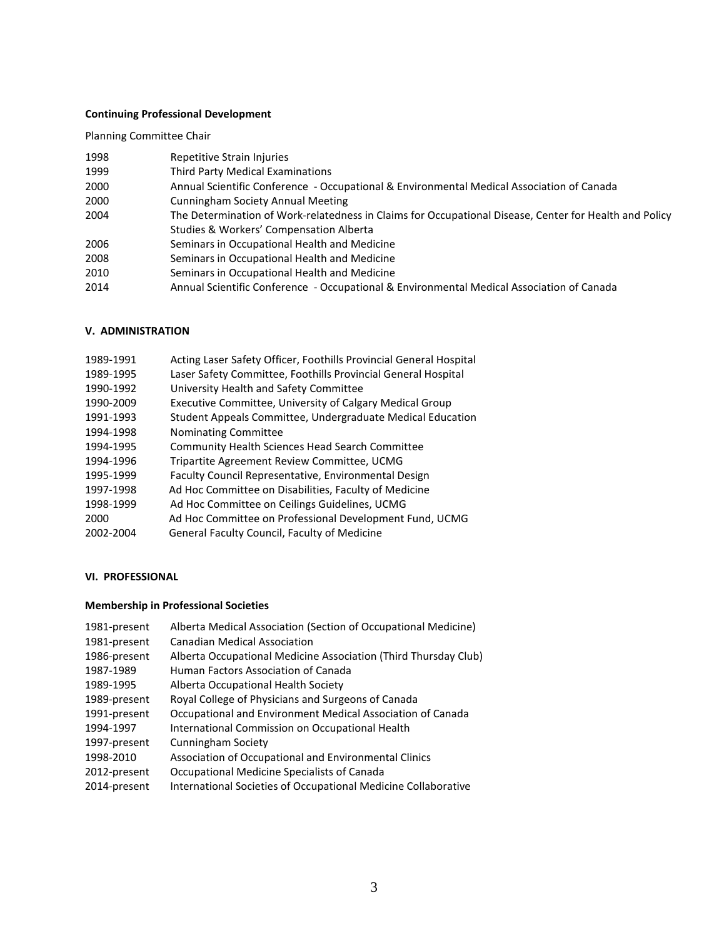# **Continuing Professional Development**

Planning Committee Chair

| 1998 | Repetitive Strain Injuries                                                                             |
|------|--------------------------------------------------------------------------------------------------------|
| 1999 | Third Party Medical Examinations                                                                       |
| 2000 | Annual Scientific Conference - Occupational & Environmental Medical Association of Canada              |
| 2000 | <b>Cunningham Society Annual Meeting</b>                                                               |
| 2004 | The Determination of Work-relatedness in Claims for Occupational Disease, Center for Health and Policy |
|      | Studies & Workers' Compensation Alberta                                                                |
| 2006 | Seminars in Occupational Health and Medicine                                                           |
| 2008 | Seminars in Occupational Health and Medicine                                                           |
| 2010 | Seminars in Occupational Health and Medicine                                                           |
| 2014 | Annual Scientific Conference - Occupational & Environmental Medical Association of Canada              |

# **V. ADMINISTRATION**

| Acting Laser Safety Officer, Foothills Provincial General Hospital |
|--------------------------------------------------------------------|
| Laser Safety Committee, Foothills Provincial General Hospital      |
| University Health and Safety Committee                             |
| Executive Committee, University of Calgary Medical Group           |
| Student Appeals Committee, Undergraduate Medical Education         |
| Nominating Committee                                               |
| <b>Community Health Sciences Head Search Committee</b>             |
| Tripartite Agreement Review Committee, UCMG                        |
| Faculty Council Representative, Environmental Design               |
| Ad Hoc Committee on Disabilities, Faculty of Medicine              |
| Ad Hoc Committee on Ceilings Guidelines, UCMG                      |
| Ad Hoc Committee on Professional Development Fund, UCMG            |
| General Faculty Council, Faculty of Medicine                       |
|                                                                    |

# **VI. PROFESSIONAL**

# **Membership in Professional Societies**

| 1981-present<br>1981-present | Alberta Medical Association (Section of Occupational Medicine)<br><b>Canadian Medical Association</b> |
|------------------------------|-------------------------------------------------------------------------------------------------------|
| 1986-present                 | Alberta Occupational Medicine Association (Third Thursday Club)                                       |
| 1987-1989                    | Human Factors Association of Canada                                                                   |
| 1989-1995                    | Alberta Occupational Health Society                                                                   |
| 1989-present                 | Royal College of Physicians and Surgeons of Canada                                                    |
| 1991-present                 | Occupational and Environment Medical Association of Canada                                            |
| 1994-1997                    | International Commission on Occupational Health                                                       |
| 1997-present                 | <b>Cunningham Society</b>                                                                             |
| 1998-2010                    | Association of Occupational and Environmental Clinics                                                 |
| 2012-present                 | Occupational Medicine Specialists of Canada                                                           |
| 2014-present                 | International Societies of Occupational Medicine Collaborative                                        |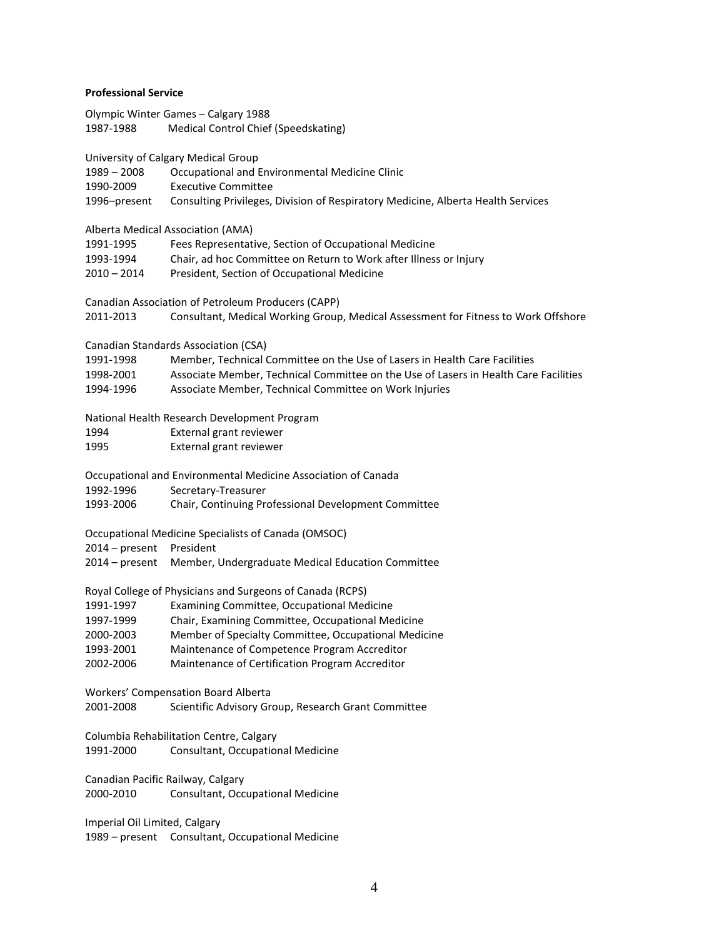# **Professional Service**

|           | Olympic Winter Games – Calgary 1988  |
|-----------|--------------------------------------|
| 1987-1988 | Medical Control Chief (Speedskating) |

University of Calgary Medical Group

1989 – 2008 Occupational and Environmental Medicine Clinic

1990-2009 Executive Committee

1996–present Consulting Privileges, Division of Respiratory Medicine, Alberta Health Services

Alberta Medical Association (AMA)

| 1991-1995 | Fees Representative, Section of Occupational Medicine |  |
|-----------|-------------------------------------------------------|--|
|           |                                                       |  |

- 1993-1994 Chair, ad hoc Committee on Return to Work after Illness or Injury
- 2010 2014 President, Section of Occupational Medicine

| Canadian Association of Petroleum Producers (CAPP)<br>2011-2013<br>Consultant, Medical Working Group, Medical Assessment for Fitness to Work Offshore |                                                                                      |  |
|-------------------------------------------------------------------------------------------------------------------------------------------------------|--------------------------------------------------------------------------------------|--|
|                                                                                                                                                       |                                                                                      |  |
|                                                                                                                                                       | Canadian Standards Association (CSA)                                                 |  |
| 1991-1998                                                                                                                                             | Member, Technical Committee on the Use of Lasers in Health Care Facilities           |  |
| 1998-2001                                                                                                                                             | Associate Member, Technical Committee on the Use of Lasers in Health Care Facilities |  |
| 1994-1996                                                                                                                                             | Associate Member, Technical Committee on Work Injuries                               |  |
| National Health Research Development Program                                                                                                          |                                                                                      |  |
| 1994                                                                                                                                                  | External grant reviewer                                                              |  |
| 1995                                                                                                                                                  | External grant reviewer                                                              |  |
| Occupational and Environmental Medicine Association of Canada                                                                                         |                                                                                      |  |
| 1992-1996                                                                                                                                             | Secretary-Treasurer                                                                  |  |
| 1993-2006                                                                                                                                             | Chair, Continuing Professional Development Committee                                 |  |
| Occupational Medicine Specialists of Canada (OMSOC)                                                                                                   |                                                                                      |  |
| 2014 - present President                                                                                                                              |                                                                                      |  |
| $2014$ – present                                                                                                                                      | Member, Undergraduate Medical Education Committee                                    |  |
| Royal College of Physicians and Surgeons of Canada (RCPS)                                                                                             |                                                                                      |  |
| 1991-1997                                                                                                                                             | Examining Committee, Occupational Medicine                                           |  |
| 1997-1999                                                                                                                                             | Chair, Examining Committee, Occupational Medicine                                    |  |
| 2000-2003                                                                                                                                             | Member of Specialty Committee, Occupational Medicine                                 |  |
| 1993-2001                                                                                                                                             | Maintenance of Competence Program Accreditor                                         |  |
| 2002-2006                                                                                                                                             | Maintenance of Certification Program Accreditor                                      |  |
| Workers' Compensation Board Alberta                                                                                                                   |                                                                                      |  |
| 2001-2008                                                                                                                                             | Scientific Advisory Group, Research Grant Committee                                  |  |
| Columbia Rehabilitation Centre, Calgary                                                                                                               |                                                                                      |  |

1991-2000 Consultant, Occupational Medicine

Canadian Pacific Railway, Calgary 2000-2010 Consultant, Occupational Medicine

Imperial Oil Limited, Calgary 1989 – present Consultant, Occupational Medicine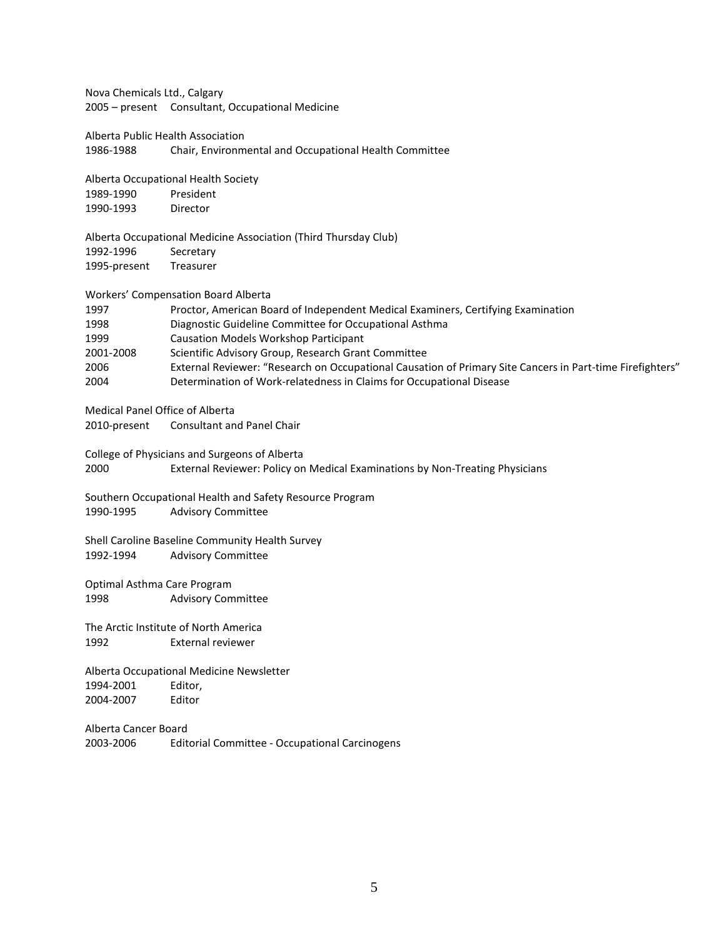Nova Chemicals Ltd., Calgary 2005 – present Consultant, Occupational Medicine

Alberta Public Health Association

1986-1988 Chair, Environmental and Occupational Health Committee

Alberta Occupational Health Society

1989-1990 President 1990-1993 Director

Alberta Occupational Medicine Association (Third Thursday Club) 1992-1996 Secretary 1995-present Treasurer

Workers' Compensation Board Alberta

| 1997      | Proctor, American Board of Independent Medical Examiners, Certifying Examination                          |
|-----------|-----------------------------------------------------------------------------------------------------------|
| 1998      | Diagnostic Guideline Committee for Occupational Asthma                                                    |
| 1999      | Causation Models Workshop Participant                                                                     |
| 2001-2008 | Scientific Advisory Group, Research Grant Committee                                                       |
| 2006      | External Reviewer: "Research on Occupational Causation of Primary Site Cancers in Part-time Firefighters" |
| 2004      | Determination of Work-relatedness in Claims for Occupational Disease                                      |

Medical Panel Office of Alberta 2010-present Consultant and Panel Chair

College of Physicians and Surgeons of Alberta

2000 External Reviewer: Policy on Medical Examinations by Non-Treating Physicians

Southern Occupational Health and Safety Resource Program 1990-1995 Advisory Committee

Shell Caroline Baseline Community Health Survey 1992-1994 Advisory Committee

Optimal Asthma Care Program 1998 Advisory Committee

The Arctic Institute of North America 1992 External reviewer

Alberta Occupational Medicine Newsletter 1994-2001 Editor, 2004-2007 Editor

Alberta Cancer Board 2003-2006 Editorial Committee - Occupational Carcinogens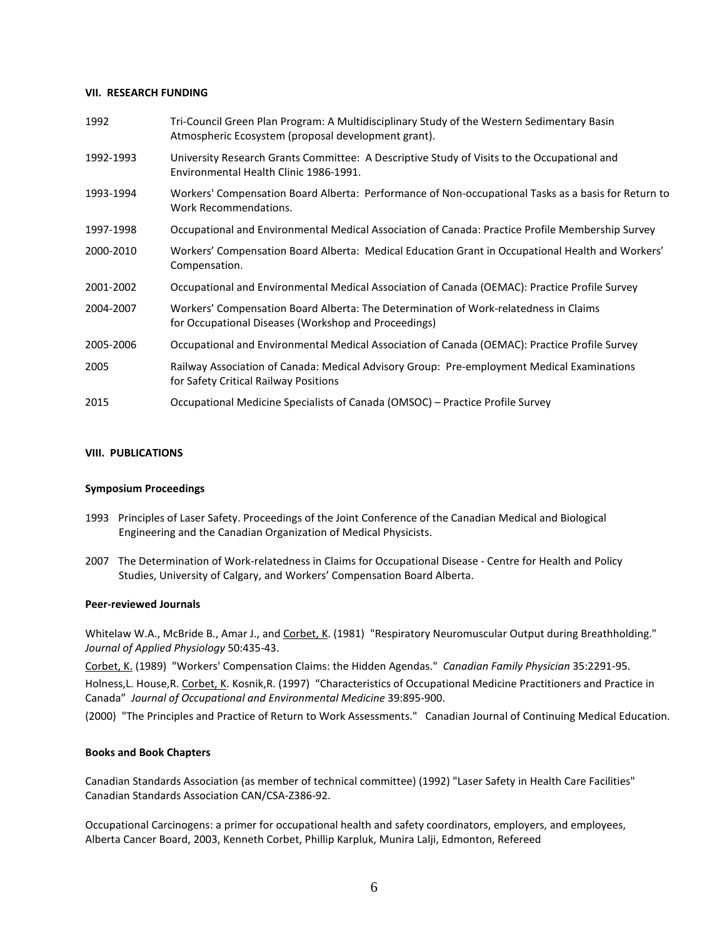### **VII. RESEARCH FUNDING**

| 1992      | Tri-Council Green Plan Program: A Multidisciplinary Study of the Western Sedimentary Basin<br>Atmospheric Ecosystem (proposal development grant). |
|-----------|---------------------------------------------------------------------------------------------------------------------------------------------------|
| 1992-1993 | University Research Grants Committee: A Descriptive Study of Visits to the Occupational and<br>Environmental Health Clinic 1986-1991.             |
| 1993-1994 | Workers' Compensation Board Alberta: Performance of Non-occupational Tasks as a basis for Return to<br>Work Recommendations.                      |
| 1997-1998 | Occupational and Environmental Medical Association of Canada: Practice Profile Membership Survey                                                  |
| 2000-2010 | Workers' Compensation Board Alberta: Medical Education Grant in Occupational Health and Workers'<br>Compensation.                                 |
| 2001-2002 | Occupational and Environmental Medical Association of Canada (OEMAC): Practice Profile Survey                                                     |
| 2004-2007 | Workers' Compensation Board Alberta: The Determination of Work-relatedness in Claims<br>for Occupational Diseases (Workshop and Proceedings)      |
| 2005-2006 | Occupational and Environmental Medical Association of Canada (OEMAC): Practice Profile Survey                                                     |
| 2005      | Railway Association of Canada: Medical Advisory Group: Pre-employment Medical Examinations<br>for Safety Critical Railway Positions               |
| 2015      | Occupational Medicine Specialists of Canada (OMSOC) – Practice Profile Survey                                                                     |

### **VIII. PUBLICATIONS**

### **Symposium Proceedings**

- 1993 Principles of Laser Safety. Proceedings of the Joint Conference of the Canadian Medical and Biological Engineering and the Canadian Organization of Medical Physicists.
- 2007 The Determination of Work-relatedness in Claims for Occupational Disease Centre for Health and Policy Studies, University of Calgary, and Workers' Compensation Board Alberta.

#### **Peer-reviewed Journals**

Whitelaw W.A., McBride B., Amar J., and Corbet, K. (1981) "Respiratory Neuromuscular Output during Breathholding." *Journal of Applied Physiology* 50:435-43.

Corbet, K. (1989) "Workers' Compensation Claims: the Hidden Agendas." *Canadian Family Physician* 35:2291-95.

Holness, L. House, R. Corbet, K. Kosnik, R. (1997) "Characteristics of Occupational Medicine Practitioners and Practice in Canada" *Journal of Occupational and Environmental Medicine* 39:895-900.

(2000) "The Principles and Practice of Return to Work Assessments." Canadian Journal of Continuing Medical Education.

#### **Books and Book Chapters**

Canadian Standards Association (as member of technical committee) (1992) "Laser Safety in Health Care Facilities" Canadian Standards Association CAN/CSA-Z386-92.

Occupational Carcinogens: a primer for occupational health and safety coordinators, employers, and employees, Alberta Cancer Board, 2003, Kenneth Corbet, Phillip Karpluk, Munira Lalji, Edmonton, Refereed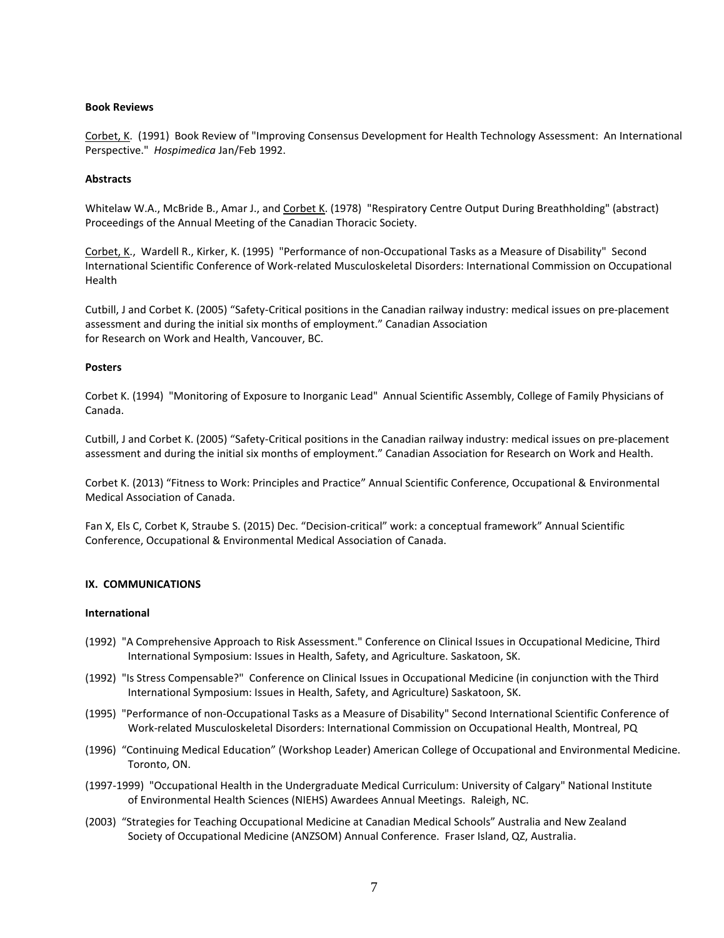## **Book Reviews**

Corbet, K. (1991) Book Review of "Improving Consensus Development for Health Technology Assessment: An International Perspective." *Hospimedica* Jan/Feb 1992.

## **Abstracts**

Whitelaw W.A., McBride B., Amar J., and Corbet K. (1978) "Respiratory Centre Output During Breathholding" (abstract) Proceedings of the Annual Meeting of the Canadian Thoracic Society.

Corbet, K., Wardell R., Kirker, K. (1995) "Performance of non-Occupational Tasks as a Measure of Disability" Second International Scientific Conference of Work-related Musculoskeletal Disorders: International Commission on Occupational Health

Cutbill, J and Corbet K. (2005) "Safety-Critical positions in the Canadian railway industry: medical issues on pre-placement assessment and during the initial six months of employment." Canadian Association for Research on Work and Health, Vancouver, BC.

### **Posters**

Corbet K. (1994) "Monitoring of Exposure to Inorganic Lead" Annual Scientific Assembly, College of Family Physicians of Canada.

Cutbill, J and Corbet K. (2005) "Safety-Critical positions in the Canadian railway industry: medical issues on pre-placement assessment and during the initial six months of employment." Canadian Association for Research on Work and Health.

Corbet K. (2013) "Fitness to Work: Principles and Practice" Annual Scientific Conference, Occupational & Environmental Medical Association of Canada.

Fan X, Els C, Corbet K, Straube S. (2015) Dec. "Decision-critical" work: a conceptual framework" Annual Scientific Conference, Occupational & Environmental Medical Association of Canada.

### **IX. COMMUNICATIONS**

#### **International**

- (1992) "A Comprehensive Approach to Risk Assessment." Conference on Clinical Issues in Occupational Medicine, Third International Symposium: Issues in Health, Safety, and Agriculture. Saskatoon, SK.
- (1992) "Is Stress Compensable?" Conference on Clinical Issues in Occupational Medicine (in conjunction with the Third International Symposium: Issues in Health, Safety, and Agriculture) Saskatoon, SK.
- (1995) "Performance of non-Occupational Tasks as a Measure of Disability" Second International Scientific Conference of Work-related Musculoskeletal Disorders: International Commission on Occupational Health, Montreal, PQ
- (1996) "Continuing Medical Education" (Workshop Leader) American College of Occupational and Environmental Medicine. Toronto, ON.
- (1997-1999) "Occupational Health in the Undergraduate Medical Curriculum: University of Calgary" National Institute of Environmental Health Sciences (NIEHS) Awardees Annual Meetings. Raleigh, NC.
- (2003) "Strategies for Teaching Occupational Medicine at Canadian Medical Schools" Australia and New Zealand Society of Occupational Medicine (ANZSOM) Annual Conference. Fraser Island, QZ, Australia.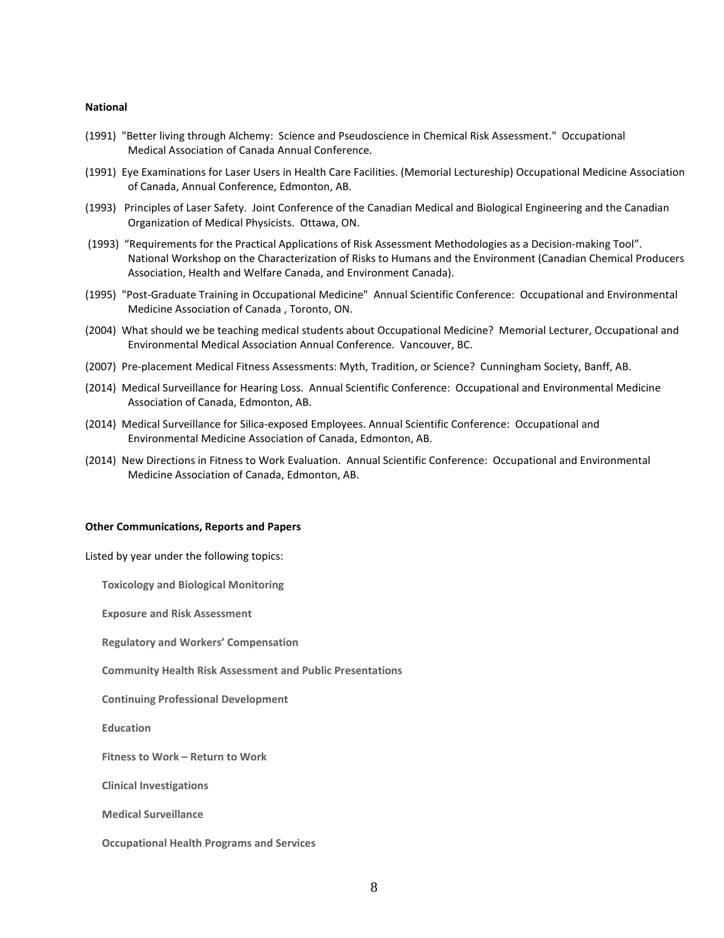#### **National**

- (1991) "Better living through Alchemy: Science and Pseudoscience in Chemical Risk Assessment." Occupational Medical Association of Canada Annual Conference.
- (1991) Eye Examinations for Laser Users in Health Care Facilities. (Memorial Lectureship) Occupational Medicine Association of Canada, Annual Conference, Edmonton, AB.
- (1993) Principles of Laser Safety. Joint Conference of the Canadian Medical and Biological Engineering and the Canadian Organization of Medical Physicists. Ottawa, ON.
- (1993) "Requirements for the Practical Applications of Risk Assessment Methodologies as a Decision-making Tool". National Workshop on the Characterization of Risks to Humans and the Environment (Canadian Chemical Producers Association, Health and Welfare Canada, and Environment Canada).
- (1995) "Post-Graduate Training in Occupational Medicine" Annual Scientific Conference: Occupational and Environmental Medicine Association of Canada , Toronto, ON.
- (2004) What should we be teaching medical students about Occupational Medicine? Memorial Lecturer, Occupational and Environmental Medical Association Annual Conference. Vancouver, BC.
- (2007) Pre-placement Medical Fitness Assessments: Myth, Tradition, or Science? Cunningham Society, Banff, AB.
- (2014) Medical Surveillance for Hearing Loss. Annual Scientific Conference: Occupational and Environmental Medicine Association of Canada, Edmonton, AB.
- (2014) Medical Surveillance for Silica-exposed Employees. Annual Scientific Conference: Occupational and Environmental Medicine Association of Canada, Edmonton, AB.
- (2014) New Directions in Fitness to Work Evaluation. Annual Scientific Conference: Occupational and Environmental Medicine Association of Canada, Edmonton, AB.

#### **Other Communications, Reports and Papers**

Listed by year under the following topics:

**Toxicology and Biological Monitoring**

**Exposure and Risk Assessment**

**Regulatory and Workers' Compensation**

**Community Health Risk Assessment and Public Presentations**

**Continuing Professional Development**

**Education**

**Fitness to Work – Return to Work**

**Clinical Investigations**

**Medical Surveillance**

**Occupational Health Programs and Services**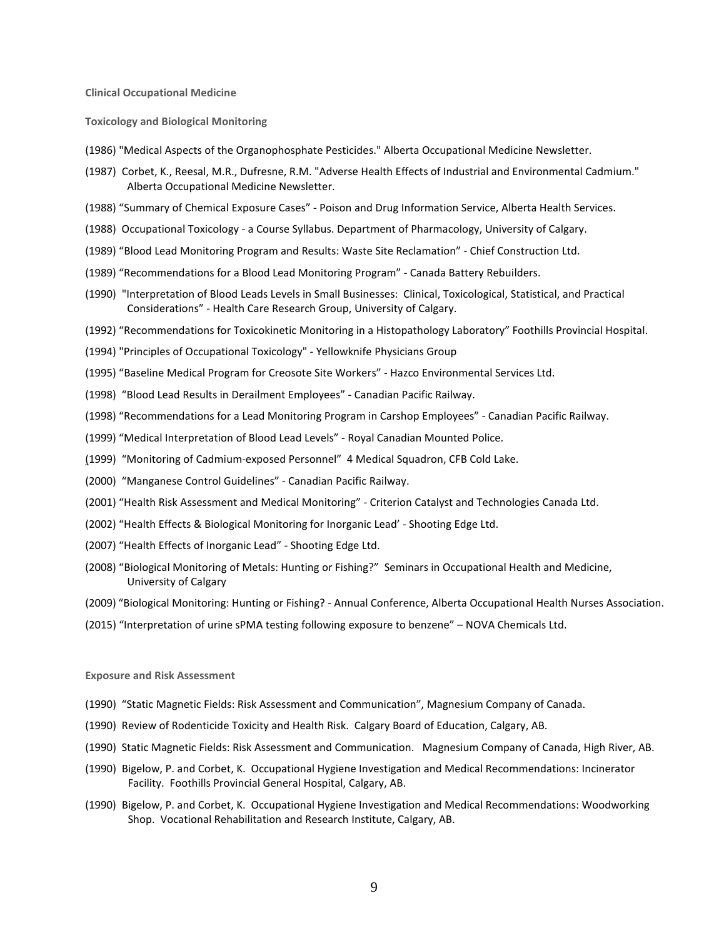**Clinical Occupational Medicine**

**Toxicology and Biological Monitoring**

- (1986) "Medical Aspects of the Organophosphate Pesticides." Alberta Occupational Medicine Newsletter.
- (1987) Corbet, K., Reesal, M.R., Dufresne, R.M. "Adverse Health Effects of Industrial and Environmental Cadmium." Alberta Occupational Medicine Newsletter.
- (1988) "Summary of Chemical Exposure Cases" Poison and Drug Information Service, Alberta Health Services.
- (1988) Occupational Toxicology a Course Syllabus. Department of Pharmacology, University of Calgary.
- (1989) "Blood Lead Monitoring Program and Results: Waste Site Reclamation" Chief Construction Ltd.
- (1989) "Recommendations for a Blood Lead Monitoring Program" Canada Battery Rebuilders.
- (1990) "Interpretation of Blood Leads Levels in Small Businesses: Clinical, Toxicological, Statistical, and Practical Considerations" - Health Care Research Group, University of Calgary.
- (1992) "Recommendations for Toxicokinetic Monitoring in a Histopathology Laboratory" Foothills Provincial Hospital.
- (1994) "Principles of Occupational Toxicology" Yellowknife Physicians Group
- (1995) "Baseline Medical Program for Creosote Site Workers" Hazco Environmental Services Ltd.
- (1998) "Blood Lead Results in Derailment Employees" Canadian Pacific Railway.
- (1998) "Recommendations for a Lead Monitoring Program in Carshop Employees" Canadian Pacific Railway.
- (1999) "Medical Interpretation of Blood Lead Levels" Royal Canadian Mounted Police.
- (1999) "Monitoring of Cadmium-exposed Personnel" 4 Medical Squadron, CFB Cold Lake.
- (2000) "Manganese Control Guidelines" Canadian Pacific Railway.
- (2001) "Health Risk Assessment and Medical Monitoring" Criterion Catalyst and Technologies Canada Ltd.
- (2002) "Health Effects & Biological Monitoring for Inorganic Lead' Shooting Edge Ltd.
- (2007) "Health Effects of Inorganic Lead" Shooting Edge Ltd.
- (2008) "Biological Monitoring of Metals: Hunting or Fishing?" Seminars in Occupational Health and Medicine, University of Calgary
- (2009) "Biological Monitoring: Hunting or Fishing? Annual Conference, Alberta Occupational Health Nurses Association.
- (2015) "Interpretation of urine sPMA testing following exposure to benzene" NOVA Chemicals Ltd.

**Exposure and Risk Assessment**

- (1990) "Static Magnetic Fields: Risk Assessment and Communication", Magnesium Company of Canada.
- (1990) Review of Rodenticide Toxicity and Health Risk. Calgary Board of Education, Calgary, AB.
- (1990) Static Magnetic Fields: Risk Assessment and Communication. Magnesium Company of Canada, High River, AB.
- (1990) Bigelow, P. and Corbet, K. Occupational Hygiene Investigation and Medical Recommendations: Incinerator Facility. Foothills Provincial General Hospital, Calgary, AB.
- (1990) Bigelow, P. and Corbet, K. Occupational Hygiene Investigation and Medical Recommendations: Woodworking Shop. Vocational Rehabilitation and Research Institute, Calgary, AB.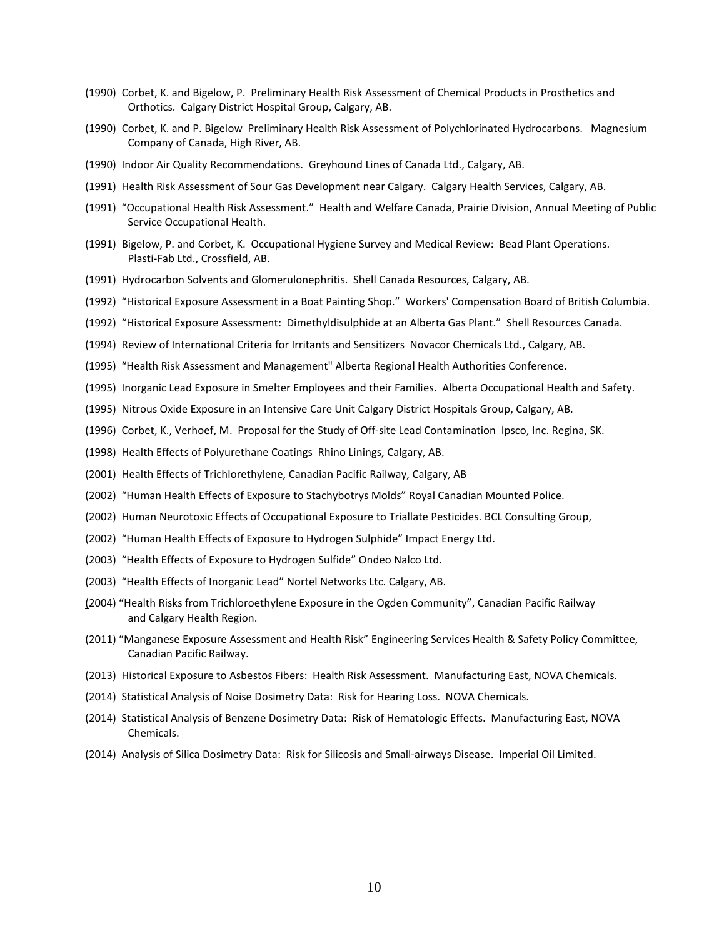- (1990) Corbet, K. and Bigelow, P. Preliminary Health Risk Assessment of Chemical Products in Prosthetics and Orthotics. Calgary District Hospital Group, Calgary, AB.
- (1990) Corbet, K. and P. Bigelow Preliminary Health Risk Assessment of Polychlorinated Hydrocarbons. Magnesium Company of Canada, High River, AB.
- (1990) Indoor Air Quality Recommendations. Greyhound Lines of Canada Ltd., Calgary, AB.
- (1991) Health Risk Assessment of Sour Gas Development near Calgary. Calgary Health Services, Calgary, AB.
- (1991) "Occupational Health Risk Assessment." Health and Welfare Canada, Prairie Division, Annual Meeting of Public Service Occupational Health.
- (1991) Bigelow, P. and Corbet, K. Occupational Hygiene Survey and Medical Review: Bead Plant Operations. Plasti-Fab Ltd., Crossfield, AB.
- (1991) Hydrocarbon Solvents and Glomerulonephritis. Shell Canada Resources, Calgary, AB.
- (1992) "Historical Exposure Assessment in a Boat Painting Shop." Workers' Compensation Board of British Columbia.
- (1992) "Historical Exposure Assessment: Dimethyldisulphide at an Alberta Gas Plant." Shell Resources Canada.
- (1994) Review of International Criteria for Irritants and Sensitizers Novacor Chemicals Ltd., Calgary, AB.
- (1995) "Health Risk Assessment and Management" Alberta Regional Health Authorities Conference.
- (1995) Inorganic Lead Exposure in Smelter Employees and their Families. Alberta Occupational Health and Safety.
- (1995) Nitrous Oxide Exposure in an Intensive Care Unit Calgary District Hospitals Group, Calgary, AB.
- (1996) Corbet, K., Verhoef, M. Proposal for the Study of Off-site Lead Contamination Ipsco, Inc. Regina, SK.
- (1998) Health Effects of Polyurethane Coatings Rhino Linings, Calgary, AB.
- (2001) Health Effects of Trichlorethylene, Canadian Pacific Railway, Calgary, AB
- (2002) "Human Health Effects of Exposure to Stachybotrys Molds" Royal Canadian Mounted Police.
- (2002) Human Neurotoxic Effects of Occupational Exposure to Triallate Pesticides. BCL Consulting Group,
- (2002) "Human Health Effects of Exposure to Hydrogen Sulphide" Impact Energy Ltd.
- (2003) "Health Effects of Exposure to Hydrogen Sulfide" Ondeo Nalco Ltd.
- (2003) "Health Effects of Inorganic Lead" Nortel Networks Ltc. Calgary, AB.
- (2004) "Health Risks from Trichloroethylene Exposure in the Ogden Community", Canadian Pacific Railway and Calgary Health Region.
- (2011) "Manganese Exposure Assessment and Health Risk" Engineering Services Health & Safety Policy Committee, Canadian Pacific Railway.
- (2013) Historical Exposure to Asbestos Fibers: Health Risk Assessment. Manufacturing East, NOVA Chemicals.
- (2014) Statistical Analysis of Noise Dosimetry Data: Risk for Hearing Loss. NOVA Chemicals.
- (2014) Statistical Analysis of Benzene Dosimetry Data: Risk of Hematologic Effects. Manufacturing East, NOVA Chemicals.
- (2014) Analysis of Silica Dosimetry Data: Risk for Silicosis and Small-airways Disease. Imperial Oil Limited.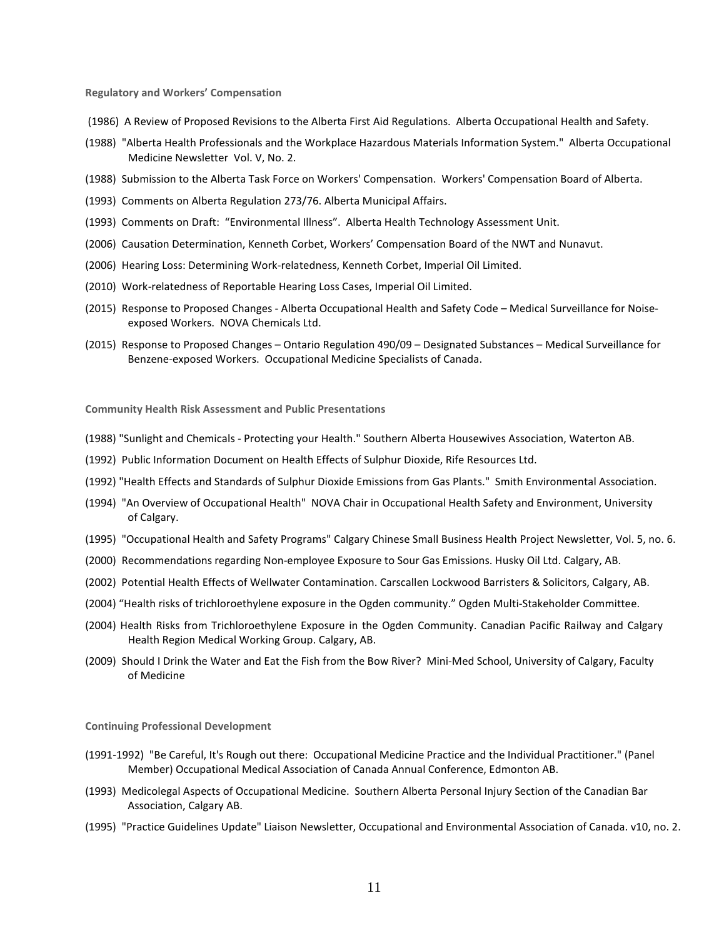**Regulatory and Workers' Compensation**

- (1986) A Review of Proposed Revisions to the Alberta First Aid Regulations. Alberta Occupational Health and Safety.
- (1988) "Alberta Health Professionals and the Workplace Hazardous Materials Information System." Alberta Occupational Medicine Newsletter Vol. V, No. 2.
- (1988) Submission to the Alberta Task Force on Workers' Compensation. Workers' Compensation Board of Alberta.
- (1993) Comments on Alberta Regulation 273/76. Alberta Municipal Affairs.
- (1993) Comments on Draft: "Environmental Illness". Alberta Health Technology Assessment Unit.
- (2006) Causation Determination, Kenneth Corbet, Workers' Compensation Board of the NWT and Nunavut.
- (2006) Hearing Loss: Determining Work-relatedness, Kenneth Corbet, Imperial Oil Limited.
- (2010) Work-relatedness of Reportable Hearing Loss Cases, Imperial Oil Limited.
- (2015) Response to Proposed Changes Alberta Occupational Health and Safety Code Medical Surveillance for Noiseexposed Workers. NOVA Chemicals Ltd.
- (2015) Response to Proposed Changes Ontario Regulation 490/09 Designated Substances Medical Surveillance for Benzene-exposed Workers. Occupational Medicine Specialists of Canada.

**Community Health Risk Assessment and Public Presentations**

- (1988) "Sunlight and Chemicals Protecting your Health." Southern Alberta Housewives Association, Waterton AB.
- (1992) Public Information Document on Health Effects of Sulphur Dioxide, Rife Resources Ltd.
- (1992) "Health Effects and Standards of Sulphur Dioxide Emissions from Gas Plants." Smith Environmental Association.
- (1994) "An Overview of Occupational Health" NOVA Chair in Occupational Health Safety and Environment, University of Calgary.
- (1995) "Occupational Health and Safety Programs" Calgary Chinese Small Business Health Project Newsletter, Vol. 5, no. 6.
- (2000) Recommendations regarding Non-employee Exposure to Sour Gas Emissions. Husky Oil Ltd. Calgary, AB.
- (2002) Potential Health Effects of Wellwater Contamination. Carscallen Lockwood Barristers & Solicitors, Calgary, AB.
- (2004) "Health risks of trichloroethylene exposure in the Ogden community." Ogden Multi-Stakeholder Committee.
- (2004) Health Risks from Trichloroethylene Exposure in the Ogden Community. Canadian Pacific Railway and Calgary Health Region Medical Working Group. Calgary, AB.
- (2009) Should I Drink the Water and Eat the Fish from the Bow River? Mini-Med School, University of Calgary, Faculty of Medicine

**Continuing Professional Development**

- (1991-1992) "Be Careful, It's Rough out there: Occupational Medicine Practice and the Individual Practitioner." (Panel Member) Occupational Medical Association of Canada Annual Conference, Edmonton AB.
- (1993) Medicolegal Aspects of Occupational Medicine. Southern Alberta Personal Injury Section of the Canadian Bar Association, Calgary AB.
- (1995) "Practice Guidelines Update" Liaison Newsletter, Occupational and Environmental Association of Canada. v10, no. 2.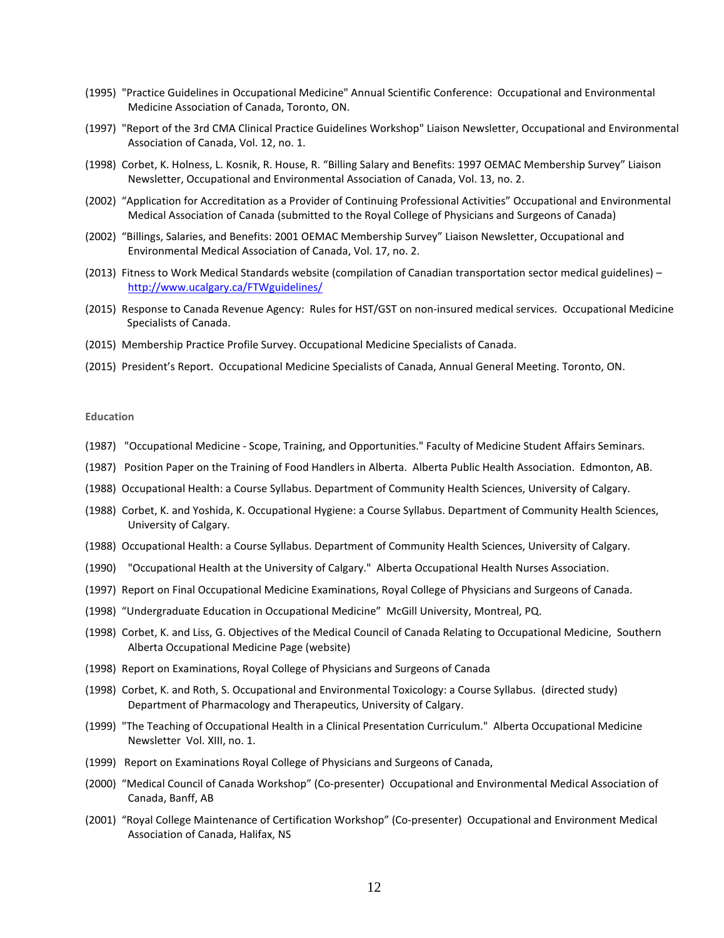- (1995) "Practice Guidelines in Occupational Medicine" Annual Scientific Conference: Occupational and Environmental Medicine Association of Canada, Toronto, ON.
- (1997) "Report of the 3rd CMA Clinical Practice Guidelines Workshop" Liaison Newsletter, Occupational and Environmental Association of Canada, Vol. 12, no. 1.
- (1998) Corbet, K. Holness, L. Kosnik, R. House, R. "Billing Salary and Benefits: 1997 OEMAC Membership Survey" Liaison Newsletter, Occupational and Environmental Association of Canada, Vol. 13, no. 2.
- (2002) "Application for Accreditation as a Provider of Continuing Professional Activities" Occupational and Environmental Medical Association of Canada (submitted to the Royal College of Physicians and Surgeons of Canada)
- (2002) "Billings, Salaries, and Benefits: 2001 OEMAC Membership Survey" Liaison Newsletter, Occupational and Environmental Medical Association of Canada, Vol. 17, no. 2.
- (2013) Fitness to Work Medical Standards website (compilation of Canadian transportation sector medical guidelines) <http://www.ucalgary.ca/FTWguidelines/>
- (2015) Response to Canada Revenue Agency: Rules for HST/GST on non-insured medical services. Occupational Medicine Specialists of Canada.
- (2015) Membership Practice Profile Survey. Occupational Medicine Specialists of Canada.
- (2015) President's Report. Occupational Medicine Specialists of Canada, Annual General Meeting. Toronto, ON.

## **Education**

- (1987) "Occupational Medicine Scope, Training, and Opportunities." Faculty of Medicine Student Affairs Seminars.
- (1987) Position Paper on the Training of Food Handlers in Alberta. Alberta Public Health Association. Edmonton, AB.
- (1988) Occupational Health: a Course Syllabus. Department of Community Health Sciences, University of Calgary.
- (1988) Corbet, K. and Yoshida, K. Occupational Hygiene: a Course Syllabus. Department of Community Health Sciences, University of Calgary.
- (1988) Occupational Health: a Course Syllabus. Department of Community Health Sciences, University of Calgary.
- (1990) "Occupational Health at the University of Calgary." Alberta Occupational Health Nurses Association.
- (1997) Report on Final Occupational Medicine Examinations, Royal College of Physicians and Surgeons of Canada.
- (1998) "Undergraduate Education in Occupational Medicine" McGill University, Montreal, PQ.
- (1998) Corbet, K. and Liss, G. Objectives of the Medical Council of Canada Relating to Occupational Medicine, Southern Alberta Occupational Medicine Page (website)
- (1998) Report on Examinations, Royal College of Physicians and Surgeons of Canada
- (1998) Corbet, K. and Roth, S. Occupational and Environmental Toxicology: a Course Syllabus. (directed study) Department of Pharmacology and Therapeutics, University of Calgary.
- (1999) "The Teaching of Occupational Health in a Clinical Presentation Curriculum." Alberta Occupational Medicine Newsletter Vol. XIII, no. 1.
- (1999) Report on Examinations Royal College of Physicians and Surgeons of Canada,
- (2000) "Medical Council of Canada Workshop" (Co-presenter) Occupational and Environmental Medical Association of Canada, Banff, AB
- (2001) "Royal College Maintenance of Certification Workshop" (Co-presenter) Occupational and Environment Medical Association of Canada, Halifax, NS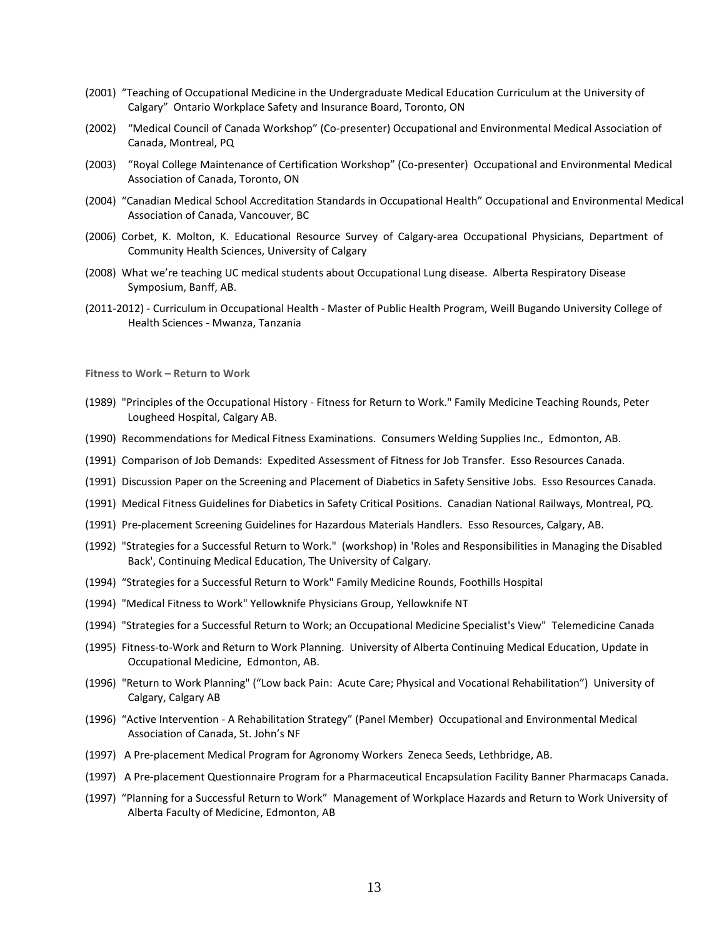- (2001) "Teaching of Occupational Medicine in the Undergraduate Medical Education Curriculum at the University of Calgary" Ontario Workplace Safety and Insurance Board, Toronto, ON
- (2002) "Medical Council of Canada Workshop" (Co-presenter) Occupational and Environmental Medical Association of Canada, Montreal, PQ
- (2003) "Royal College Maintenance of Certification Workshop" (Co-presenter) Occupational and Environmental Medical Association of Canada, Toronto, ON
- (2004) "Canadian Medical School Accreditation Standards in Occupational Health" Occupational and Environmental Medical Association of Canada, Vancouver, BC
- (2006) Corbet, K. Molton, K. Educational Resource Survey of Calgary-area Occupational Physicians, Department of Community Health Sciences, University of Calgary
- (2008) What we're teaching UC medical students about Occupational Lung disease. Alberta Respiratory Disease Symposium, Banff, AB.
- (2011-2012) Curriculum in Occupational Health Master of Public Health Program, Weill Bugando University College of Health Sciences - Mwanza, Tanzania

**Fitness to Work – Return to Work**

- (1989) "Principles of the Occupational History Fitness for Return to Work." Family Medicine Teaching Rounds, Peter Lougheed Hospital, Calgary AB.
- (1990) Recommendations for Medical Fitness Examinations. Consumers Welding Supplies Inc., Edmonton, AB.
- (1991) Comparison of Job Demands: Expedited Assessment of Fitness for Job Transfer. Esso Resources Canada.
- (1991) Discussion Paper on the Screening and Placement of Diabetics in Safety Sensitive Jobs. Esso Resources Canada.
- (1991) Medical Fitness Guidelines for Diabetics in Safety Critical Positions. Canadian National Railways, Montreal, PQ.
- (1991) Pre-placement Screening Guidelines for Hazardous Materials Handlers. Esso Resources, Calgary, AB.
- (1992) "Strategies for a Successful Return to Work." (workshop) in 'Roles and Responsibilities in Managing the Disabled Back', Continuing Medical Education, The University of Calgary.
- (1994) "Strategies for a Successful Return to Work" Family Medicine Rounds, Foothills Hospital
- (1994) "Medical Fitness to Work" Yellowknife Physicians Group, Yellowknife NT
- (1994) "Strategies for a Successful Return to Work; an Occupational Medicine Specialist's View" Telemedicine Canada
- (1995) Fitness-to-Work and Return to Work Planning. University of Alberta Continuing Medical Education, Update in Occupational Medicine, Edmonton, AB.
- (1996) "Return to Work Planning" ("Low back Pain: Acute Care; Physical and Vocational Rehabilitation") University of Calgary, Calgary AB
- (1996) "Active Intervention A Rehabilitation Strategy" (Panel Member) Occupational and Environmental Medical Association of Canada, St. John's NF
- (1997) A Pre-placement Medical Program for Agronomy Workers Zeneca Seeds, Lethbridge, AB.
- (1997) A Pre-placement Questionnaire Program for a Pharmaceutical Encapsulation Facility Banner Pharmacaps Canada.
- (1997) "Planning for a Successful Return to Work" Management of Workplace Hazards and Return to Work University of Alberta Faculty of Medicine, Edmonton, AB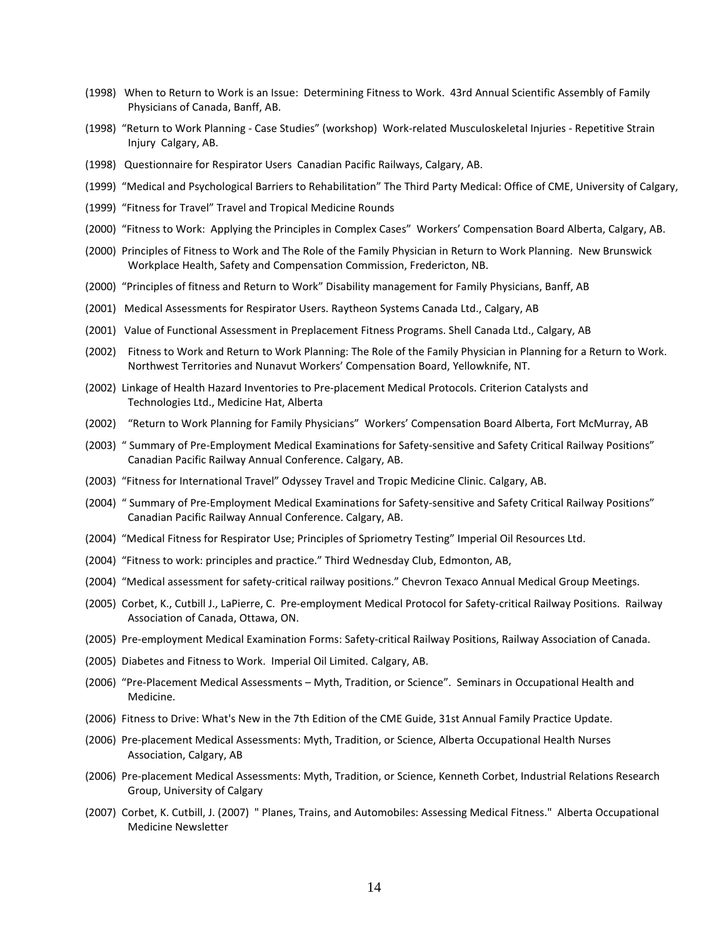- (1998) When to Return to Work is an Issue: Determining Fitness to Work. 43rd Annual Scientific Assembly of Family Physicians of Canada, Banff, AB.
- (1998) "Return to Work Planning Case Studies" (workshop) Work-related Musculoskeletal Injuries Repetitive Strain Injury Calgary, AB.
- (1998) Questionnaire for Respirator Users Canadian Pacific Railways, Calgary, AB.
- (1999) "Medical and Psychological Barriers to Rehabilitation" The Third Party Medical: Office of CME, University of Calgary,
- (1999) "Fitness for Travel" Travel and Tropical Medicine Rounds
- (2000) "Fitness to Work: Applying the Principles in Complex Cases" Workers' Compensation Board Alberta, Calgary, AB.
- (2000) Principles of Fitness to Work and The Role of the Family Physician in Return to Work Planning. New Brunswick Workplace Health, Safety and Compensation Commission, Fredericton, NB.
- (2000) "Principles of fitness and Return to Work" Disability management for Family Physicians, Banff, AB
- (2001) Medical Assessments for Respirator Users. Raytheon Systems Canada Ltd., Calgary, AB
- (2001) Value of Functional Assessment in Preplacement Fitness Programs. Shell Canada Ltd., Calgary, AB
- (2002) Fitness to Work and Return to Work Planning: The Role of the Family Physician in Planning for a Return to Work. Northwest Territories and Nunavut Workers' Compensation Board, Yellowknife, NT.
- (2002) Linkage of Health Hazard Inventories to Pre-placement Medical Protocols. Criterion Catalysts and Technologies Ltd., Medicine Hat, Alberta
- (2002) "Return to Work Planning for Family Physicians" Workers' Compensation Board Alberta, Fort McMurray, AB
- (2003) " Summary of Pre-Employment Medical Examinations for Safety-sensitive and Safety Critical Railway Positions" Canadian Pacific Railway Annual Conference. Calgary, AB.
- (2003) "Fitness for International Travel" Odyssey Travel and Tropic Medicine Clinic. Calgary, AB.
- (2004) " Summary of Pre-Employment Medical Examinations for Safety-sensitive and Safety Critical Railway Positions" Canadian Pacific Railway Annual Conference. Calgary, AB.
- (2004) "Medical Fitness for Respirator Use; Principles of Spriometry Testing" Imperial Oil Resources Ltd.
- (2004) "Fitness to work: principles and practice." Third Wednesday Club, Edmonton, AB,
- (2004) "Medical assessment for safety-critical railway positions." Chevron Texaco Annual Medical Group Meetings.
- (2005) Corbet, K., Cutbill J., LaPierre, C. Pre-employment Medical Protocol for Safety-critical Railway Positions. Railway Association of Canada, Ottawa, ON.
- (2005) Pre-employment Medical Examination Forms: Safety-critical Railway Positions, Railway Association of Canada.
- (2005) Diabetes and Fitness to Work. Imperial Oil Limited. Calgary, AB.
- (2006) "Pre-Placement Medical Assessments Myth, Tradition, or Science". Seminars in Occupational Health and Medicine.
- (2006) Fitness to Drive: What's New in the 7th Edition of the CME Guide, 31st Annual Family Practice Update.
- (2006) Pre-placement Medical Assessments: Myth, Tradition, or Science, Alberta Occupational Health Nurses Association, Calgary, AB
- (2006) Pre-placement Medical Assessments: Myth, Tradition, or Science, Kenneth Corbet, Industrial Relations Research Group, University of Calgary
- (2007) Corbet, K. Cutbill, J. (2007) " Planes, Trains, and Automobiles: Assessing Medical Fitness." Alberta Occupational Medicine Newsletter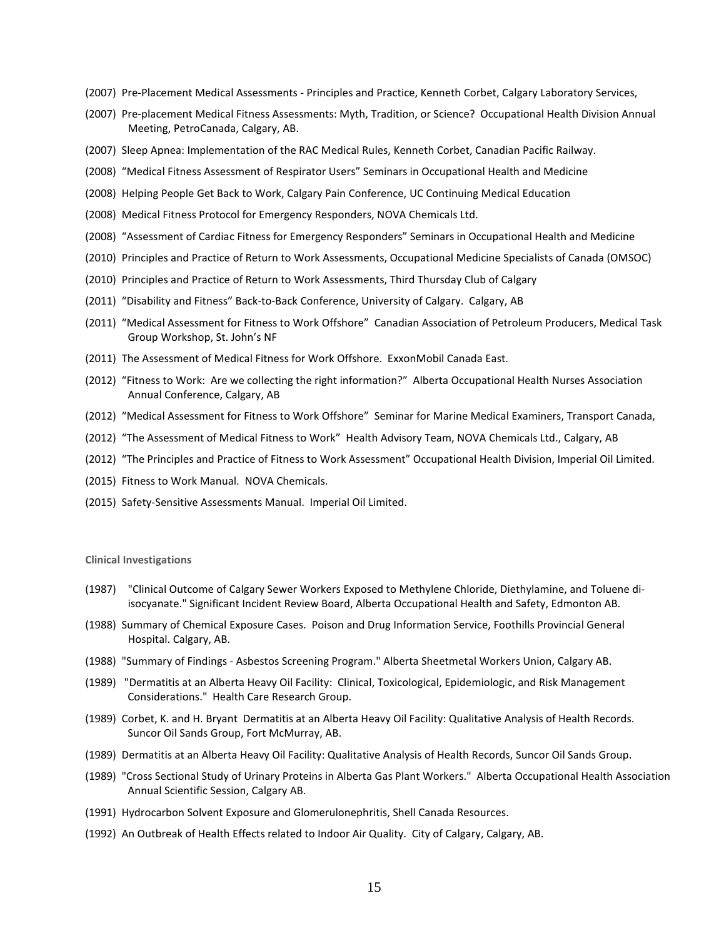- (2007) Pre-Placement Medical Assessments Principles and Practice, Kenneth Corbet, Calgary Laboratory Services,
- (2007) Pre-placement Medical Fitness Assessments: Myth, Tradition, or Science? Occupational Health Division Annual Meeting, PetroCanada, Calgary, AB.
- (2007) Sleep Apnea: Implementation of the RAC Medical Rules, Kenneth Corbet, Canadian Pacific Railway.
- (2008) "Medical Fitness Assessment of Respirator Users" Seminars in Occupational Health and Medicine
- (2008) Helping People Get Back to Work, Calgary Pain Conference, UC Continuing Medical Education
- (2008) Medical Fitness Protocol for Emergency Responders, NOVA Chemicals Ltd.
- (2008) "Assessment of Cardiac Fitness for Emergency Responders" Seminars in Occupational Health and Medicine
- (2010) Principles and Practice of Return to Work Assessments, Occupational Medicine Specialists of Canada (OMSOC)
- (2010) Principles and Practice of Return to Work Assessments, Third Thursday Club of Calgary
- (2011) "Disability and Fitness" Back-to-Back Conference, University of Calgary. Calgary, AB
- (2011) "Medical Assessment for Fitness to Work Offshore" Canadian Association of Petroleum Producers, Medical Task Group Workshop, St. John's NF
- (2011) The Assessment of Medical Fitness for Work Offshore. ExxonMobil Canada East.
- (2012) "Fitness to Work: Are we collecting the right information?" Alberta Occupational Health Nurses Association Annual Conference, Calgary, AB
- (2012) "Medical Assessment for Fitness to Work Offshore" Seminar for Marine Medical Examiners, Transport Canada,
- (2012) "The Assessment of Medical Fitness to Work" Health Advisory Team, NOVA Chemicals Ltd., Calgary, AB
- (2012) "The Principles and Practice of Fitness to Work Assessment" Occupational Health Division, Imperial Oil Limited.
- (2015) Fitness to Work Manual. NOVA Chemicals.
- (2015) Safety-Sensitive Assessments Manual. Imperial Oil Limited.

#### **Clinical Investigations**

- (1987) "Clinical Outcome of Calgary Sewer Workers Exposed to Methylene Chloride, Diethylamine, and Toluene diisocyanate." Significant Incident Review Board, Alberta Occupational Health and Safety, Edmonton AB.
- (1988) Summary of Chemical Exposure Cases. Poison and Drug Information Service, Foothills Provincial General Hospital. Calgary, AB.
- (1988) "Summary of Findings Asbestos Screening Program." Alberta Sheetmetal Workers Union, Calgary AB.
- (1989) "Dermatitis at an Alberta Heavy Oil Facility: Clinical, Toxicological, Epidemiologic, and Risk Management Considerations." Health Care Research Group.
- (1989) Corbet, K. and H. Bryant Dermatitis at an Alberta Heavy Oil Facility: Qualitative Analysis of Health Records. Suncor Oil Sands Group, Fort McMurray, AB.
- (1989) Dermatitis at an Alberta Heavy Oil Facility: Qualitative Analysis of Health Records, Suncor Oil Sands Group.
- (1989) "Cross Sectional Study of Urinary Proteins in Alberta Gas Plant Workers." Alberta Occupational Health Association Annual Scientific Session, Calgary AB.
- (1991) Hydrocarbon Solvent Exposure and Glomerulonephritis, Shell Canada Resources.
- (1992) An Outbreak of Health Effects related to Indoor Air Quality. City of Calgary, Calgary, AB.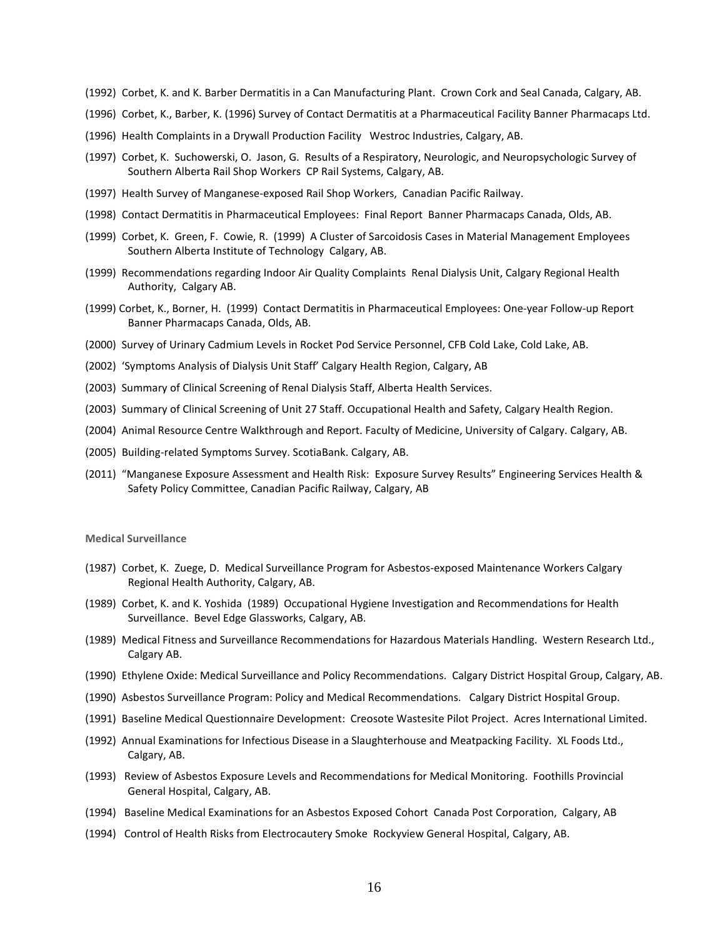- (1992) Corbet, K. and K. Barber Dermatitis in a Can Manufacturing Plant. Crown Cork and Seal Canada, Calgary, AB.
- (1996) Corbet, K., Barber, K. (1996) Survey of Contact Dermatitis at a Pharmaceutical Facility Banner Pharmacaps Ltd.
- (1996) Health Complaints in a Drywall Production Facility Westroc Industries, Calgary, AB.
- (1997) Corbet, K. Suchowerski, O. Jason, G. Results of a Respiratory, Neurologic, and Neuropsychologic Survey of Southern Alberta Rail Shop Workers CP Rail Systems, Calgary, AB.
- (1997) Health Survey of Manganese-exposed Rail Shop Workers, Canadian Pacific Railway.
- (1998) Contact Dermatitis in Pharmaceutical Employees: Final Report Banner Pharmacaps Canada, Olds, AB.
- (1999) Corbet, K. Green, F. Cowie, R. (1999) A Cluster of Sarcoidosis Cases in Material Management Employees Southern Alberta Institute of Technology Calgary, AB.
- (1999) Recommendations regarding Indoor Air Quality Complaints Renal Dialysis Unit, Calgary Regional Health Authority, Calgary AB.
- (1999) Corbet, K., Borner, H. (1999) Contact Dermatitis in Pharmaceutical Employees: One-year Follow-up Report Banner Pharmacaps Canada, Olds, AB.
- (2000) Survey of Urinary Cadmium Levels in Rocket Pod Service Personnel, CFB Cold Lake, Cold Lake, AB.
- (2002) 'Symptoms Analysis of Dialysis Unit Staff' Calgary Health Region, Calgary, AB
- (2003) Summary of Clinical Screening of Renal Dialysis Staff, Alberta Health Services.
- (2003) Summary of Clinical Screening of Unit 27 Staff. Occupational Health and Safety, Calgary Health Region.
- (2004) Animal Resource Centre Walkthrough and Report. Faculty of Medicine, University of Calgary. Calgary, AB.
- (2005) Building-related Symptoms Survey. ScotiaBank. Calgary, AB.
- (2011) "Manganese Exposure Assessment and Health Risk: Exposure Survey Results" Engineering Services Health & Safety Policy Committee, Canadian Pacific Railway, Calgary, AB

#### **Medical Surveillance**

- (1987) Corbet, K. Zuege, D. Medical Surveillance Program for Asbestos-exposed Maintenance Workers Calgary Regional Health Authority, Calgary, AB.
- (1989) Corbet, K. and K. Yoshida (1989) Occupational Hygiene Investigation and Recommendations for Health Surveillance. Bevel Edge Glassworks, Calgary, AB.
- (1989) Medical Fitness and Surveillance Recommendations for Hazardous Materials Handling. Western Research Ltd., Calgary AB.
- (1990) Ethylene Oxide: Medical Surveillance and Policy Recommendations. Calgary District Hospital Group, Calgary, AB.
- (1990) Asbestos Surveillance Program: Policy and Medical Recommendations. Calgary District Hospital Group.
- (1991) Baseline Medical Questionnaire Development: Creosote Wastesite Pilot Project. Acres International Limited.
- (1992) Annual Examinations for Infectious Disease in a Slaughterhouse and Meatpacking Facility. XL Foods Ltd., Calgary, AB.
- (1993) Review of Asbestos Exposure Levels and Recommendations for Medical Monitoring. Foothills Provincial General Hospital, Calgary, AB.
- (1994) Baseline Medical Examinations for an Asbestos Exposed Cohort Canada Post Corporation, Calgary, AB
- (1994) Control of Health Risks from Electrocautery Smoke Rockyview General Hospital, Calgary, AB.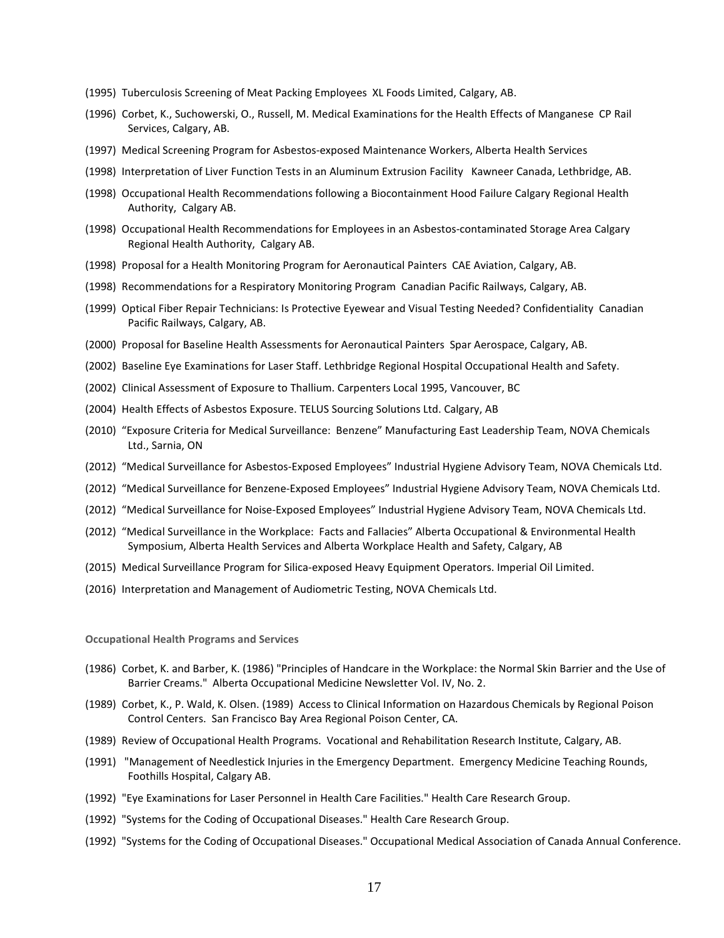- (1995) Tuberculosis Screening of Meat Packing Employees XL Foods Limited, Calgary, AB.
- (1996) Corbet, K., Suchowerski, O., Russell, M. Medical Examinations for the Health Effects of Manganese CP Rail Services, Calgary, AB.
- (1997) Medical Screening Program for Asbestos-exposed Maintenance Workers, Alberta Health Services
- (1998) Interpretation of Liver Function Tests in an Aluminum Extrusion Facility Kawneer Canada, Lethbridge, AB.
- (1998) Occupational Health Recommendations following a Biocontainment Hood Failure Calgary Regional Health Authority, Calgary AB.
- (1998) Occupational Health Recommendations for Employees in an Asbestos-contaminated Storage Area Calgary Regional Health Authority, Calgary AB.
- (1998) Proposal for a Health Monitoring Program for Aeronautical Painters CAE Aviation, Calgary, AB.
- (1998) Recommendations for a Respiratory Monitoring Program Canadian Pacific Railways, Calgary, AB.
- (1999) Optical Fiber Repair Technicians: Is Protective Eyewear and Visual Testing Needed? Confidentiality Canadian Pacific Railways, Calgary, AB.
- (2000) Proposal for Baseline Health Assessments for Aeronautical Painters Spar Aerospace, Calgary, AB.
- (2002) Baseline Eye Examinations for Laser Staff. Lethbridge Regional Hospital Occupational Health and Safety.
- (2002) Clinical Assessment of Exposure to Thallium. Carpenters Local 1995, Vancouver, BC
- (2004) Health Effects of Asbestos Exposure. TELUS Sourcing Solutions Ltd. Calgary, AB
- (2010) "Exposure Criteria for Medical Surveillance: Benzene" Manufacturing East Leadership Team, NOVA Chemicals Ltd., Sarnia, ON
- (2012) "Medical Surveillance for Asbestos-Exposed Employees" Industrial Hygiene Advisory Team, NOVA Chemicals Ltd.
- (2012) "Medical Surveillance for Benzene-Exposed Employees" Industrial Hygiene Advisory Team, NOVA Chemicals Ltd.
- (2012) "Medical Surveillance for Noise-Exposed Employees" Industrial Hygiene Advisory Team, NOVA Chemicals Ltd.
- (2012) "Medical Surveillance in the Workplace: Facts and Fallacies" Alberta Occupational & Environmental Health Symposium, Alberta Health Services and Alberta Workplace Health and Safety, Calgary, AB
- (2015) Medical Surveillance Program for Silica-exposed Heavy Equipment Operators. Imperial Oil Limited.
- (2016) Interpretation and Management of Audiometric Testing, NOVA Chemicals Ltd.

**Occupational Health Programs and Services**

- (1986) Corbet, K. and Barber, K. (1986) "Principles of Handcare in the Workplace: the Normal Skin Barrier and the Use of Barrier Creams." Alberta Occupational Medicine Newsletter Vol. IV, No. 2.
- (1989) Corbet, K., P. Wald, K. Olsen. (1989) Access to Clinical Information on Hazardous Chemicals by Regional Poison Control Centers. San Francisco Bay Area Regional Poison Center, CA.
- (1989) Review of Occupational Health Programs. Vocational and Rehabilitation Research Institute, Calgary, AB.
- (1991) "Management of Needlestick Injuries in the Emergency Department. Emergency Medicine Teaching Rounds, Foothills Hospital, Calgary AB.
- (1992) "Eye Examinations for Laser Personnel in Health Care Facilities." Health Care Research Group.
- (1992) "Systems for the Coding of Occupational Diseases." Health Care Research Group.
- (1992) "Systems for the Coding of Occupational Diseases." Occupational Medical Association of Canada Annual Conference.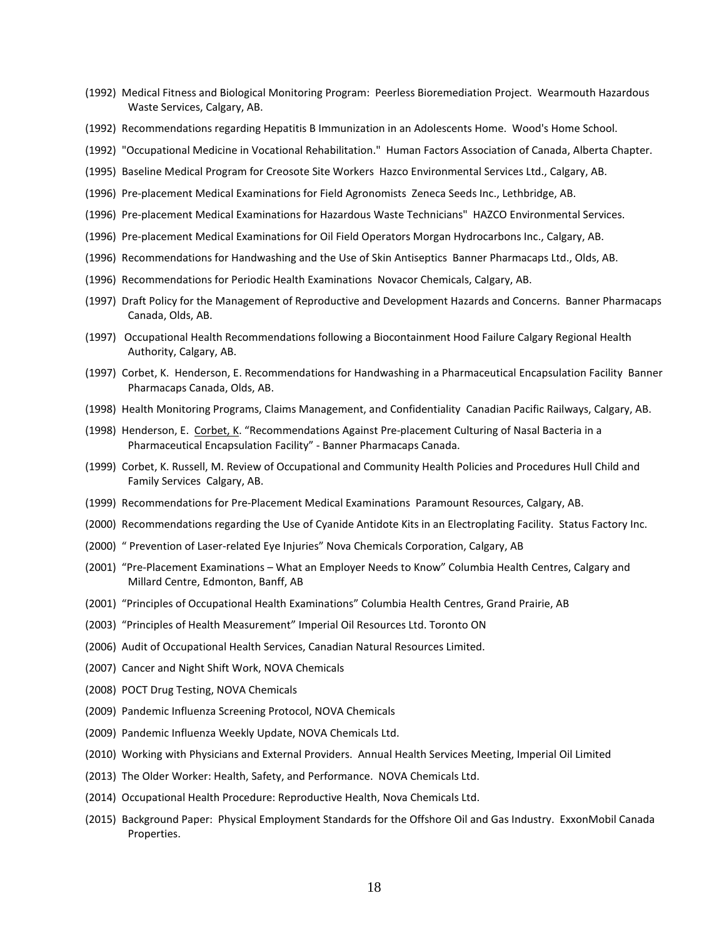- (1992) Medical Fitness and Biological Monitoring Program: Peerless Bioremediation Project. Wearmouth Hazardous Waste Services, Calgary, AB.
- (1992) Recommendations regarding Hepatitis B Immunization in an Adolescents Home. Wood's Home School.
- (1992) "Occupational Medicine in Vocational Rehabilitation." Human Factors Association of Canada, Alberta Chapter.
- (1995) Baseline Medical Program for Creosote Site Workers Hazco Environmental Services Ltd., Calgary, AB.
- (1996) Pre-placement Medical Examinations for Field Agronomists Zeneca Seeds Inc., Lethbridge, AB.
- (1996) Pre-placement Medical Examinations for Hazardous Waste Technicians" HAZCO Environmental Services.
- (1996) Pre-placement Medical Examinations for Oil Field Operators Morgan Hydrocarbons Inc., Calgary, AB.
- (1996) Recommendations for Handwashing and the Use of Skin Antiseptics Banner Pharmacaps Ltd., Olds, AB.
- (1996) Recommendations for Periodic Health Examinations Novacor Chemicals, Calgary, AB.
- (1997) Draft Policy for the Management of Reproductive and Development Hazards and Concerns. Banner Pharmacaps Canada, Olds, AB.
- (1997) Occupational Health Recommendations following a Biocontainment Hood Failure Calgary Regional Health Authority, Calgary, AB.
- (1997) Corbet, K. Henderson, E. Recommendations for Handwashing in a Pharmaceutical Encapsulation Facility Banner Pharmacaps Canada, Olds, AB.
- (1998) Health Monitoring Programs, Claims Management, and Confidentiality Canadian Pacific Railways, Calgary, AB.
- (1998) Henderson, E. Corbet, K. "Recommendations Against Pre-placement Culturing of Nasal Bacteria in a Pharmaceutical Encapsulation Facility" - Banner Pharmacaps Canada.
- (1999) Corbet, K. Russell, M. Review of Occupational and Community Health Policies and Procedures Hull Child and Family Services Calgary, AB.
- (1999) Recommendations for Pre-Placement Medical Examinations Paramount Resources, Calgary, AB.
- (2000) Recommendations regarding the Use of Cyanide Antidote Kits in an Electroplating Facility. Status Factory Inc.
- (2000) " Prevention of Laser-related Eye Injuries" Nova Chemicals Corporation, Calgary, AB
- (2001) "Pre-Placement Examinations What an Employer Needs to Know" Columbia Health Centres, Calgary and Millard Centre, Edmonton, Banff, AB
- (2001) "Principles of Occupational Health Examinations" Columbia Health Centres, Grand Prairie, AB
- (2003) "Principles of Health Measurement" Imperial Oil Resources Ltd. Toronto ON
- (2006) Audit of Occupational Health Services, Canadian Natural Resources Limited.
- (2007) Cancer and Night Shift Work, NOVA Chemicals
- (2008) POCT Drug Testing, NOVA Chemicals
- (2009) Pandemic Influenza Screening Protocol, NOVA Chemicals
- (2009) Pandemic Influenza Weekly Update, NOVA Chemicals Ltd.
- (2010) Working with Physicians and External Providers. Annual Health Services Meeting, Imperial Oil Limited
- (2013) The Older Worker: Health, Safety, and Performance. NOVA Chemicals Ltd.
- (2014) Occupational Health Procedure: Reproductive Health, Nova Chemicals Ltd.
- (2015) Background Paper: Physical Employment Standards for the Offshore Oil and Gas Industry. ExxonMobil Canada Properties.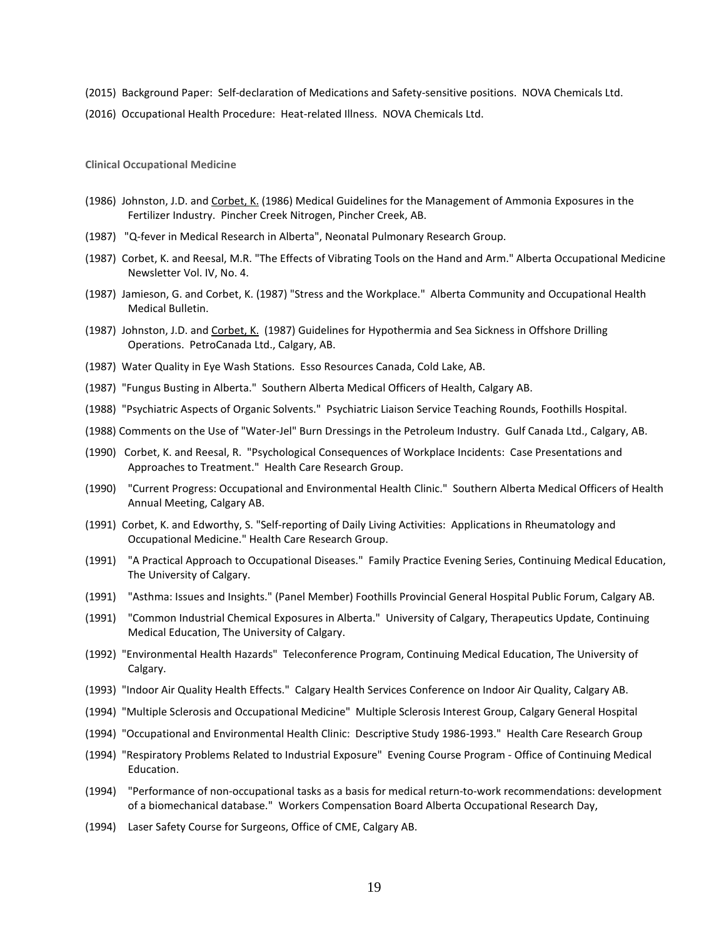(2015) Background Paper: Self-declaration of Medications and Safety-sensitive positions. NOVA Chemicals Ltd.

(2016) Occupational Health Procedure: Heat-related Illness. NOVA Chemicals Ltd.

**Clinical Occupational Medicine**

- (1986) Johnston, J.D. and Corbet, K. (1986) Medical Guidelines for the Management of Ammonia Exposures in the Fertilizer Industry. Pincher Creek Nitrogen, Pincher Creek, AB.
- (1987) "Q-fever in Medical Research in Alberta", Neonatal Pulmonary Research Group.
- (1987) Corbet, K. and Reesal, M.R. "The Effects of Vibrating Tools on the Hand and Arm." Alberta Occupational Medicine Newsletter Vol. IV, No. 4.
- (1987) Jamieson, G. and Corbet, K. (1987) "Stress and the Workplace." Alberta Community and Occupational Health Medical Bulletin.
- (1987) Johnston, J.D. and Corbet, K. (1987) Guidelines for Hypothermia and Sea Sickness in Offshore Drilling Operations. PetroCanada Ltd., Calgary, AB.
- (1987) Water Quality in Eye Wash Stations. Esso Resources Canada, Cold Lake, AB.
- (1987) "Fungus Busting in Alberta." Southern Alberta Medical Officers of Health, Calgary AB.
- (1988) "Psychiatric Aspects of Organic Solvents." Psychiatric Liaison Service Teaching Rounds, Foothills Hospital.
- (1988) Comments on the Use of "Water-Jel" Burn Dressings in the Petroleum Industry. Gulf Canada Ltd., Calgary, AB.
- (1990) Corbet, K. and Reesal, R. "Psychological Consequences of Workplace Incidents: Case Presentations and Approaches to Treatment." Health Care Research Group.
- (1990) "Current Progress: Occupational and Environmental Health Clinic." Southern Alberta Medical Officers of Health Annual Meeting, Calgary AB.
- (1991) Corbet, K. and Edworthy, S. "Self-reporting of Daily Living Activities: Applications in Rheumatology and Occupational Medicine." Health Care Research Group.
- (1991) "A Practical Approach to Occupational Diseases." Family Practice Evening Series, Continuing Medical Education, The University of Calgary.
- (1991) "Asthma: Issues and Insights." (Panel Member) Foothills Provincial General Hospital Public Forum, Calgary AB.
- (1991) "Common Industrial Chemical Exposures in Alberta." University of Calgary, Therapeutics Update, Continuing Medical Education, The University of Calgary.
- (1992) "Environmental Health Hazards" Teleconference Program, Continuing Medical Education, The University of Calgary.
- (1993) "Indoor Air Quality Health Effects." Calgary Health Services Conference on Indoor Air Quality, Calgary AB.
- (1994) "Multiple Sclerosis and Occupational Medicine" Multiple Sclerosis Interest Group, Calgary General Hospital
- (1994) "Occupational and Environmental Health Clinic: Descriptive Study 1986-1993." Health Care Research Group
- (1994) "Respiratory Problems Related to Industrial Exposure" Evening Course Program Office of Continuing Medical Education.
- (1994) "Performance of non-occupational tasks as a basis for medical return-to-work recommendations: development of a biomechanical database." Workers Compensation Board Alberta Occupational Research Day,
- (1994) Laser Safety Course for Surgeons, Office of CME, Calgary AB.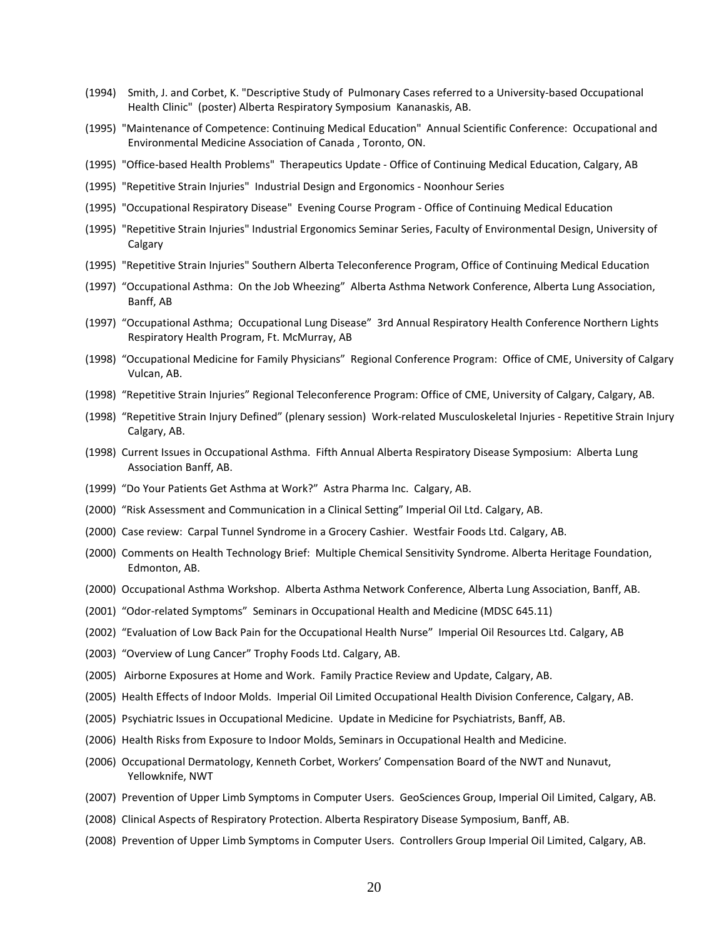- (1994) Smith, J. and Corbet, K. "Descriptive Study of Pulmonary Cases referred to a University-based Occupational Health Clinic" (poster) Alberta Respiratory Symposium Kananaskis, AB.
- (1995) "Maintenance of Competence: Continuing Medical Education" Annual Scientific Conference: Occupational and Environmental Medicine Association of Canada , Toronto, ON.
- (1995) "Office-based Health Problems" Therapeutics Update Office of Continuing Medical Education, Calgary, AB
- (1995) "Repetitive Strain Injuries" Industrial Design and Ergonomics Noonhour Series
- (1995) "Occupational Respiratory Disease" Evening Course Program Office of Continuing Medical Education
- (1995) "Repetitive Strain Injuries" Industrial Ergonomics Seminar Series, Faculty of Environmental Design, University of Calgary
- (1995) "Repetitive Strain Injuries" Southern Alberta Teleconference Program, Office of Continuing Medical Education
- (1997) "Occupational Asthma: On the Job Wheezing" Alberta Asthma Network Conference, Alberta Lung Association, Banff, AB
- (1997) "Occupational Asthma; Occupational Lung Disease" 3rd Annual Respiratory Health Conference Northern Lights Respiratory Health Program, Ft. McMurray, AB
- (1998) "Occupational Medicine for Family Physicians" Regional Conference Program: Office of CME, University of Calgary Vulcan, AB.
- (1998) "Repetitive Strain Injuries" Regional Teleconference Program: Office of CME, University of Calgary, Calgary, AB.
- (1998) "Repetitive Strain Injury Defined" (plenary session) Work-related Musculoskeletal Injuries Repetitive Strain Injury Calgary, AB.
- (1998) Current Issues in Occupational Asthma. Fifth Annual Alberta Respiratory Disease Symposium: Alberta Lung Association Banff, AB.
- (1999) "Do Your Patients Get Asthma at Work?" Astra Pharma Inc. Calgary, AB.
- (2000) "Risk Assessment and Communication in a Clinical Setting" Imperial Oil Ltd. Calgary, AB.
- (2000) Case review: Carpal Tunnel Syndrome in a Grocery Cashier. Westfair Foods Ltd. Calgary, AB.
- (2000) Comments on Health Technology Brief: Multiple Chemical Sensitivity Syndrome. Alberta Heritage Foundation, Edmonton, AB.
- (2000) Occupational Asthma Workshop. Alberta Asthma Network Conference, Alberta Lung Association, Banff, AB.
- (2001) "Odor-related Symptoms" Seminars in Occupational Health and Medicine (MDSC 645.11)
- (2002) "Evaluation of Low Back Pain for the Occupational Health Nurse" Imperial Oil Resources Ltd. Calgary, AB
- (2003) "Overview of Lung Cancer" Trophy Foods Ltd. Calgary, AB.
- (2005) Airborne Exposures at Home and Work. Family Practice Review and Update, Calgary, AB.
- (2005) Health Effects of Indoor Molds. Imperial Oil Limited Occupational Health Division Conference, Calgary, AB.
- (2005) Psychiatric Issues in Occupational Medicine. Update in Medicine for Psychiatrists, Banff, AB.
- (2006) Health Risks from Exposure to Indoor Molds, Seminars in Occupational Health and Medicine.
- (2006) Occupational Dermatology, Kenneth Corbet, Workers' Compensation Board of the NWT and Nunavut, Yellowknife, NWT
- (2007) Prevention of Upper Limb Symptoms in Computer Users. GeoSciences Group, Imperial Oil Limited, Calgary, AB.
- (2008) Clinical Aspects of Respiratory Protection. Alberta Respiratory Disease Symposium, Banff, AB.
- (2008) Prevention of Upper Limb Symptoms in Computer Users. Controllers Group Imperial Oil Limited, Calgary, AB.